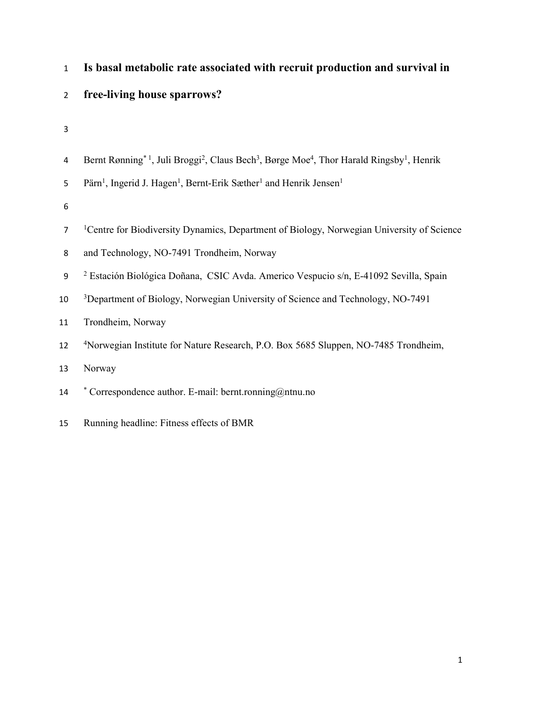| $\mathbf{1}$     | Is basal metabolic rate associated with recruit production and survival in                                                                            |
|------------------|-------------------------------------------------------------------------------------------------------------------------------------------------------|
| $\overline{2}$   | free-living house sparrows?                                                                                                                           |
| 3                |                                                                                                                                                       |
| 4                | Bernt Rønning <sup>*1</sup> , Juli Broggi <sup>2</sup> , Claus Bech <sup>3</sup> , Børge Moe <sup>4</sup> , Thor Harald Ringsby <sup>1</sup> , Henrik |
| 5                | Pärn <sup>1</sup> , Ingerid J. Hagen <sup>1</sup> , Bernt-Erik Sæther <sup>1</sup> and Henrik Jensen <sup>1</sup>                                     |
| 6                |                                                                                                                                                       |
| $\overline{7}$   | <sup>1</sup> Centre for Biodiversity Dynamics, Department of Biology, Norwegian University of Science                                                 |
| 8                | and Technology, NO-7491 Trondheim, Norway                                                                                                             |
| $\boldsymbol{9}$ | <sup>2</sup> Estación Biológica Doñana, CSIC Avda. Americo Vespucio s/n, E-41092 Sevilla, Spain                                                       |
| 10               | <sup>3</sup> Department of Biology, Norwegian University of Science and Technology, NO-7491                                                           |
| 11               | Trondheim, Norway                                                                                                                                     |
| 12               | <sup>4</sup> Norwegian Institute for Nature Research, P.O. Box 5685 Sluppen, NO-7485 Trondheim,                                                       |
| 13               | Norway                                                                                                                                                |
| 14               | * Correspondence author. E-mail: bernt.ronning@ntnu.no                                                                                                |
|                  |                                                                                                                                                       |

15 Running headline: Fitness effects of BMR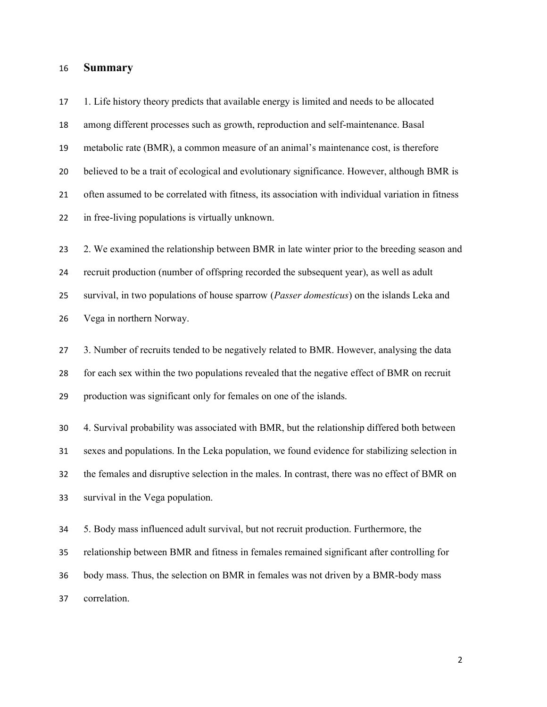#### Summary

1. Life history theory predicts that available energy is limited and needs to be allocated among different processes such as growth, reproduction and self-maintenance. Basal metabolic rate (BMR), a common measure of an animal's maintenance cost, is therefore believed to be a trait of ecological and evolutionary significance. However, although BMR is often assumed to be correlated with fitness, its association with individual variation in fitness in free-living populations is virtually unknown. 23 2. We examined the relationship between BMR in late winter prior to the breeding season and recruit production (number of offspring recorded the subsequent year), as well as adult 25 survival, in two populations of house sparrow (*Passer domesticus*) on the islands Leka and Vega in northern Norway. 3. Number of recruits tended to be negatively related to BMR. However, analysing the data for each sex within the two populations revealed that the negative effect of BMR on recruit production was significant only for females on one of the islands. 4. Survival probability was associated with BMR, but the relationship differed both between sexes and populations. In the Leka population, we found evidence for stabilizing selection in the females and disruptive selection in the males. In contrast, there was no effect of BMR on survival in the Vega population. 5. Body mass influenced adult survival, but not recruit production. Furthermore, the relationship between BMR and fitness in females remained significant after controlling for body mass. Thus, the selection on BMR in females was not driven by a BMR-body mass

correlation.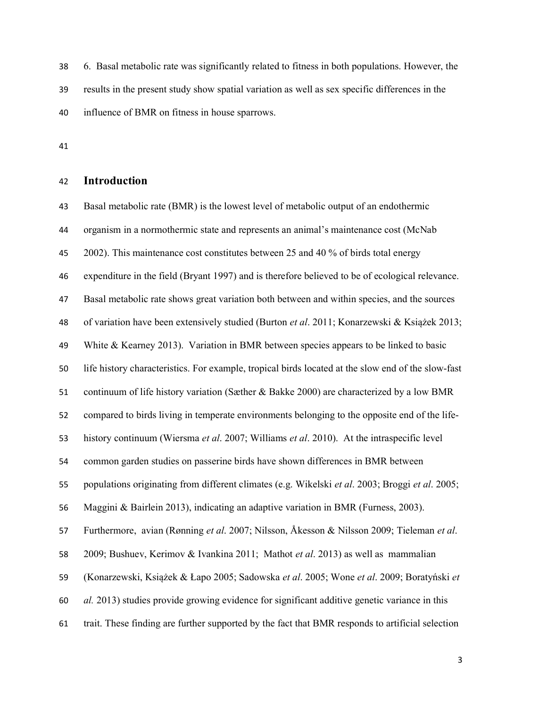6. Basal metabolic rate was significantly related to fitness in both populations. However, the results in the present study show spatial variation as well as sex specific differences in the influence of BMR on fitness in house sparrows.

#### Introduction

Basal metabolic rate (BMR) is the lowest level of metabolic output of an endothermic organism in a normothermic state and represents an animal's maintenance cost (McNab 2002). This maintenance cost constitutes between 25 and 40 % of birds total energy expenditure in the field (Bryant 1997) and is therefore believed to be of ecological relevance. Basal metabolic rate shows great variation both between and within species, and the sources of variation have been extensively studied (Burton et al. 2011; Konarzewski & Książek 2013; White & Kearney 2013). Variation in BMR between species appears to be linked to basic life history characteristics. For example, tropical birds located at the slow end of the slow-fast continuum of life history variation (Sæther & Bakke 2000) are characterized by a low BMR compared to birds living in temperate environments belonging to the opposite end of the life-history continuum (Wiersma et al. 2007; Williams et al. 2010). At the intraspecific level common garden studies on passerine birds have shown differences in BMR between populations originating from different climates (e.g. Wikelski et al. 2003; Broggi et al. 2005; Maggini & Bairlein 2013), indicating an adaptive variation in BMR (Furness, 2003). Furthermore, avian (Rønning et al. 2007; Nilsson, Åkesson & Nilsson 2009; Tieleman et al. 2009; Bushuev, Kerimov & Ivankina 2011; Mathot et al. 2013) as well as mammalian (Konarzewski, Książek & Łapo 2005; Sadowska et al. 2005; Wone et al. 2009; Boratyński et al. 2013) studies provide growing evidence for significant additive genetic variance in this trait. These finding are further supported by the fact that BMR responds to artificial selection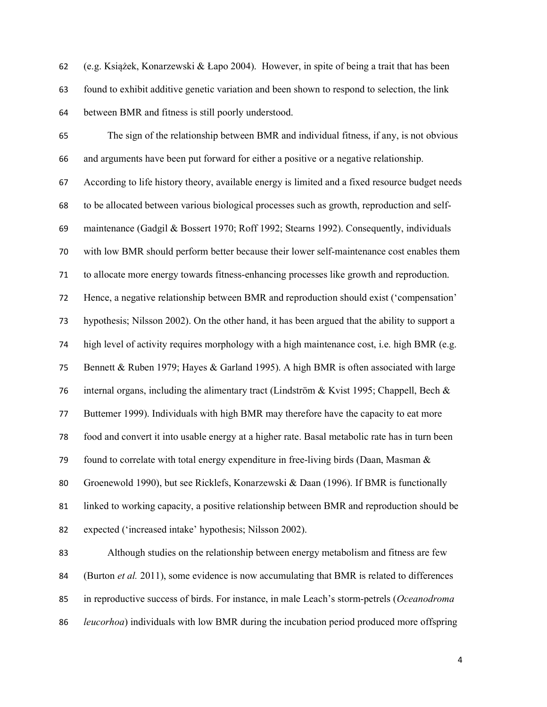(e.g. Książek, Konarzewski & Łapo 2004). However, in spite of being a trait that has been found to exhibit additive genetic variation and been shown to respond to selection, the link between BMR and fitness is still poorly understood.

The sign of the relationship between BMR and individual fitness, if any, is not obvious and arguments have been put forward for either a positive or a negative relationship. According to life history theory, available energy is limited and a fixed resource budget needs to be allocated between various biological processes such as growth, reproduction and self-maintenance (Gadgil & Bossert 1970; Roff 1992; Stearns 1992). Consequently, individuals with low BMR should perform better because their lower self-maintenance cost enables them to allocate more energy towards fitness-enhancing processes like growth and reproduction. Hence, a negative relationship between BMR and reproduction should exist ('compensation' hypothesis; Nilsson 2002). On the other hand, it has been argued that the ability to support a high level of activity requires morphology with a high maintenance cost, i.e. high BMR (e.g. Bennett & Ruben 1979; Hayes & Garland 1995). A high BMR is often associated with large 76 internal organs, including the alimentary tract (Lindström & Kvist 1995; Chappell, Bech & Buttemer 1999). Individuals with high BMR may therefore have the capacity to eat more food and convert it into usable energy at a higher rate. Basal metabolic rate has in turn been 79 found to correlate with total energy expenditure in free-living birds (Daan, Masman  $\&$ Groenewold 1990), but see Ricklefs, Konarzewski & Daan (1996). If BMR is functionally linked to working capacity, a positive relationship between BMR and reproduction should be expected ('increased intake' hypothesis; Nilsson 2002).

Although studies on the relationship between energy metabolism and fitness are few 84 (Burton *et al.* 2011), some evidence is now accumulating that BMR is related to differences 85 in reproductive success of birds. For instance, in male Leach's storm-petrels (Oceanodroma *leucorhoa*) individuals with low BMR during the incubation period produced more offspring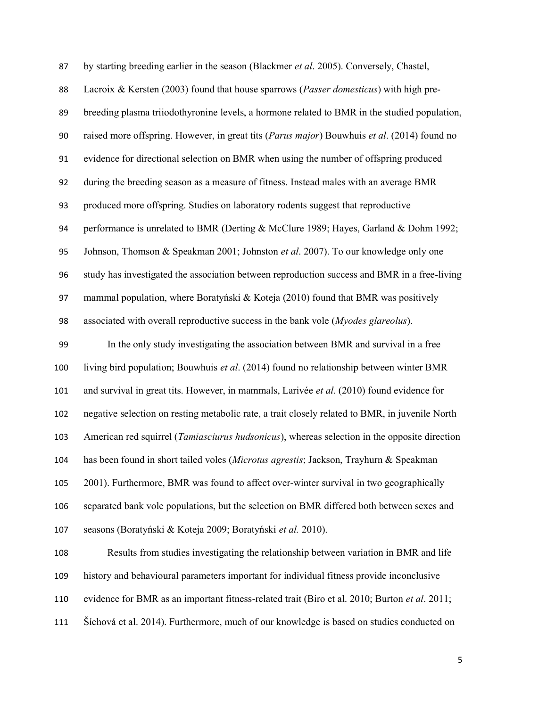| 87  | by starting breeding earlier in the season (Blackmer et al. 2005). Conversely, Chastel,         |
|-----|-------------------------------------------------------------------------------------------------|
| 88  | Lacroix & Kersten (2003) found that house sparrows (Passer domesticus) with high pre-           |
| 89  | breeding plasma triiodothyronine levels, a hormone related to BMR in the studied population,    |
| 90  | raised more offspring. However, in great tits (Parus major) Bouwhuis et al. (2014) found no     |
| 91  | evidence for directional selection on BMR when using the number of offspring produced           |
| 92  | during the breeding season as a measure of fitness. Instead males with an average BMR           |
| 93  | produced more offspring. Studies on laboratory rodents suggest that reproductive                |
| 94  | performance is unrelated to BMR (Derting & McClure 1989; Hayes, Garland & Dohm 1992;            |
| 95  | Johnson, Thomson & Speakman 2001; Johnston et al. 2007). To our knowledge only one              |
| 96  | study has investigated the association between reproduction success and BMR in a free-living    |
| 97  | mammal population, where Boratyński & Koteja (2010) found that BMR was positively               |
| 98  | associated with overall reproductive success in the bank vole (Myodes glareolus).               |
| 99  | In the only study investigating the association between BMR and survival in a free              |
| 100 | living bird population; Bouwhuis et al. (2014) found no relationship between winter BMR         |
| 101 | and survival in great tits. However, in mammals, Larivée et al. (2010) found evidence for       |
| 102 | negative selection on resting metabolic rate, a trait closely related to BMR, in juvenile North |
| 103 | American red squirrel (Tamiasciurus hudsonicus), whereas selection in the opposite direction    |
| 104 | has been found in short tailed voles (Microtus agrestis; Jackson, Trayhurn & Speakman           |
| 105 | 2001). Furthermore, BMR was found to affect over-winter survival in two geographically          |
| 106 | separated bank vole populations, but the selection on BMR differed both between sexes and       |
| 107 | seasons (Boratyński & Koteja 2009; Boratyński et al. 2010).                                     |
| 108 | Results from studies investigating the relationship between variation in BMR and life           |
| 109 | history and behavioural parameters important for individual fitness provide inconclusive        |
| 110 | evidence for BMR as an important fitness-related trait (Biro et al. 2010; Burton et al. 2011;   |
| 111 | Šíchová et al. 2014). Furthermore, much of our knowledge is based on studies conducted on       |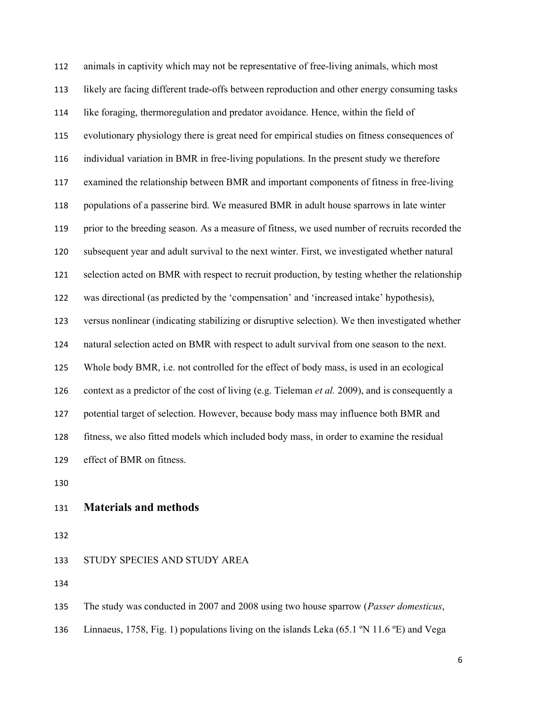animals in captivity which may not be representative of free-living animals, which most likely are facing different trade-offs between reproduction and other energy consuming tasks like foraging, thermoregulation and predator avoidance. Hence, within the field of evolutionary physiology there is great need for empirical studies on fitness consequences of individual variation in BMR in free-living populations. In the present study we therefore examined the relationship between BMR and important components of fitness in free-living populations of a passerine bird. We measured BMR in adult house sparrows in late winter prior to the breeding season. As a measure of fitness, we used number of recruits recorded the subsequent year and adult survival to the next winter. First, we investigated whether natural selection acted on BMR with respect to recruit production, by testing whether the relationship was directional (as predicted by the 'compensation' and 'increased intake' hypothesis), versus nonlinear (indicating stabilizing or disruptive selection). We then investigated whether natural selection acted on BMR with respect to adult survival from one season to the next. Whole body BMR, i.e. not controlled for the effect of body mass, is used in an ecological 126 context as a predictor of the cost of living (e.g. Tieleman *et al.* 2009), and is consequently a potential target of selection. However, because body mass may influence both BMR and fitness, we also fitted models which included body mass, in order to examine the residual effect of BMR on fitness.

### Materials and methods

STUDY SPECIES AND STUDY AREA

135 The study was conducted in 2007 and 2008 using two house sparrow (*Passer domesticus*,

136 Linnaeus, 1758, Fig. 1) populations living on the islands Leka (65.1 °N 11.6 °E) and Vega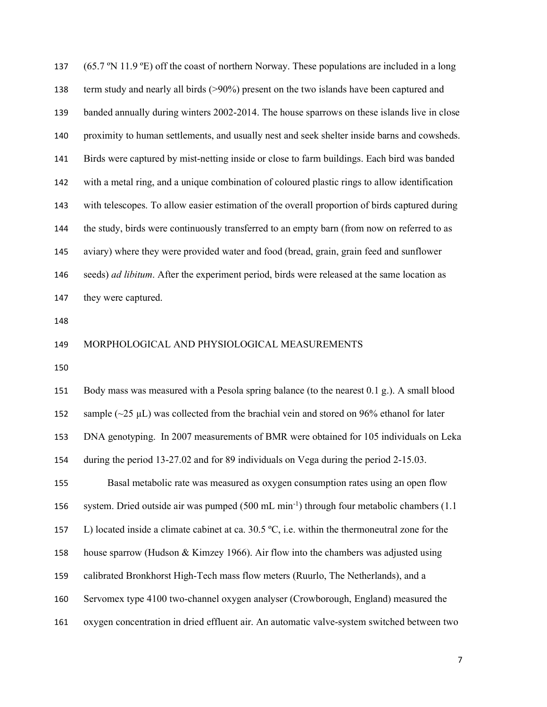(65.7 ºN 11.9 ºE) off the coast of northern Norway. These populations are included in a long term study and nearly all birds (>90%) present on the two islands have been captured and banded annually during winters 2002-2014. The house sparrows on these islands live in close proximity to human settlements, and usually nest and seek shelter inside barns and cowsheds. Birds were captured by mist-netting inside or close to farm buildings. Each bird was banded with a metal ring, and a unique combination of coloured plastic rings to allow identification with telescopes. To allow easier estimation of the overall proportion of birds captured during the study, birds were continuously transferred to an empty barn (from now on referred to as aviary) where they were provided water and food (bread, grain, grain feed and sunflower 146 seeds) *ad libitum*. After the experiment period, birds were released at the same location as they were captured.

#### MORPHOLOGICAL AND PHYSIOLOGICAL MEASUREMENTS

Body mass was measured with a Pesola spring balance (to the nearest 0.1 g.). A small blood 152 sample  $(\sim 25 \mu L)$  was collected from the brachial vein and stored on 96% ethanol for later DNA genotyping. In 2007 measurements of BMR were obtained for 105 individuals on Leka during the period 13-27.02 and for 89 individuals on Vega during the period 2-15.03. Basal metabolic rate was measured as oxygen consumption rates using an open flow 156 system. Dried outside air was pumped  $(500 \text{ mL min}^{-1})$  through four metabolic chambers (1.1) 157 L) located inside a climate cabinet at ca.  $30.5 \degree C$ , i.e. within the thermoneutral zone for the house sparrow (Hudson & Kimzey 1966). Air flow into the chambers was adjusted using calibrated Bronkhorst High-Tech mass flow meters (Ruurlo, The Netherlands), and a Servomex type 4100 two-channel oxygen analyser (Crowborough, England) measured the oxygen concentration in dried effluent air. An automatic valve-system switched between two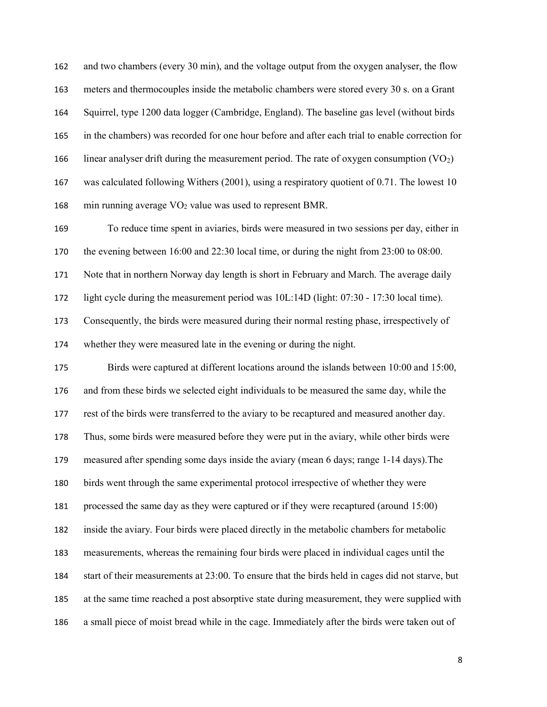and two chambers (every 30 min), and the voltage output from the oxygen analyser, the flow meters and thermocouples inside the metabolic chambers were stored every 30 s. on a Grant Squirrel, type 1200 data logger (Cambridge, England). The baseline gas level (without birds in the chambers) was recorded for one hour before and after each trial to enable correction for 166 linear analyser drift during the measurement period. The rate of oxygen consumption  $(VO_2)$ was calculated following Withers (2001), using a respiratory quotient of 0.71. The lowest 10 168 min running average  $VO<sub>2</sub>$  value was used to represent BMR. To reduce time spent in aviaries, birds were measured in two sessions per day, either in

the evening between 16:00 and 22:30 local time, or during the night from 23:00 to 08:00.

171 Note that in northern Norway day length is short in February and March. The average daily

light cycle during the measurement period was 10L:14D (light: 07:30 - 17:30 local time).

Consequently, the birds were measured during their normal resting phase, irrespectively of

whether they were measured late in the evening or during the night.

Birds were captured at different locations around the islands between 10:00 and 15:00, and from these birds we selected eight individuals to be measured the same day, while the rest of the birds were transferred to the aviary to be recaptured and measured another day. Thus, some birds were measured before they were put in the aviary, while other birds were measured after spending some days inside the aviary (mean 6 days; range 1-14 days).The birds went through the same experimental protocol irrespective of whether they were processed the same day as they were captured or if they were recaptured (around 15:00) inside the aviary. Four birds were placed directly in the metabolic chambers for metabolic measurements, whereas the remaining four birds were placed in individual cages until the start of their measurements at 23:00. To ensure that the birds held in cages did not starve, but at the same time reached a post absorptive state during measurement, they were supplied with a small piece of moist bread while in the cage. Immediately after the birds were taken out of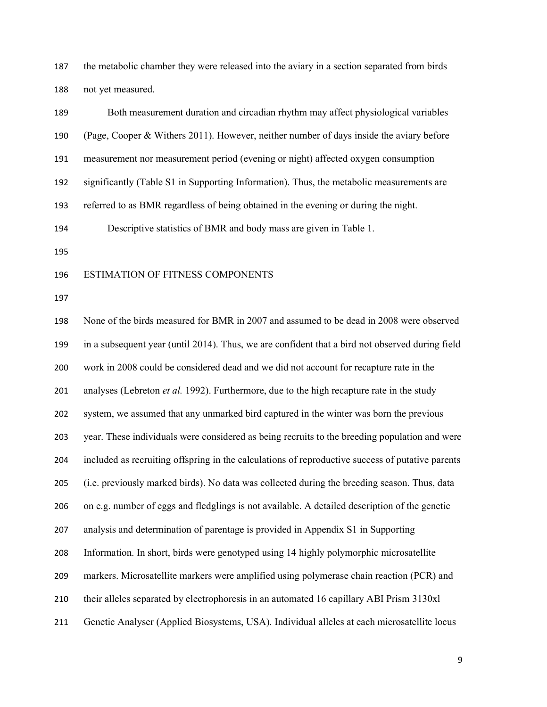the metabolic chamber they were released into the aviary in a section separated from birds not yet measured.

| 189 | Both measurement duration and circadian rhythm may affect physiological variables                |
|-----|--------------------------------------------------------------------------------------------------|
| 190 | (Page, Cooper & Withers 2011). However, neither number of days inside the aviary before          |
| 191 | measurement nor measurement period (evening or night) affected oxygen consumption                |
| 192 | significantly (Table S1 in Supporting Information). Thus, the metabolic measurements are         |
| 193 | referred to as BMR regardless of being obtained in the evening or during the night.              |
| 194 | Descriptive statistics of BMR and body mass are given in Table 1.                                |
| 195 |                                                                                                  |
| 196 | ESTIMATION OF FITNESS COMPONENTS                                                                 |
| 197 |                                                                                                  |
| 198 | None of the birds measured for BMR in 2007 and assumed to be dead in 2008 were observed          |
| 199 | in a subsequent year (until 2014). Thus, we are confident that a bird not observed during field  |
| 200 | work in 2008 could be considered dead and we did not account for recapture rate in the           |
| 201 | analyses (Lebreton <i>et al.</i> 1992). Furthermore, due to the high recapture rate in the study |
| 202 | system, we assumed that any unmarked bird captured in the winter was born the previous           |
| 203 | year. These individuals were considered as being recruits to the breeding population and were    |
| 204 | included as recruiting offspring in the calculations of reproductive success of putative parents |
| 205 | (i.e. previously marked birds). No data was collected during the breeding season. Thus, data     |
| 206 | on e.g. number of eggs and fledglings is not available. A detailed description of the genetic    |
| 207 | analysis and determination of parentage is provided in Appendix S1 in Supporting                 |
| 208 | Information. In short, birds were genotyped using 14 highly polymorphic microsatellite           |
| 209 | markers. Microsatellite markers were amplified using polymerase chain reaction (PCR) and         |
| 210 | their alleles separated by electrophoresis in an automated 16 capillary ABI Prism 3130xl         |
| 211 | Genetic Analyser (Applied Biosystems, USA). Individual alleles at each microsatellite locus      |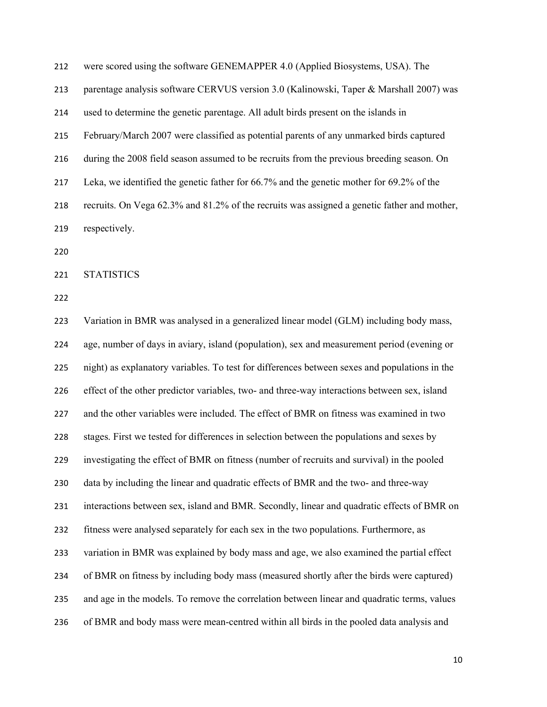were scored using the software GENEMAPPER 4.0 (Applied Biosystems, USA). The

parentage analysis software CERVUS version 3.0 (Kalinowski, Taper & Marshall 2007) was

used to determine the genetic parentage. All adult birds present on the islands in

February/March 2007 were classified as potential parents of any unmarked birds captured

during the 2008 field season assumed to be recruits from the previous breeding season. On

Leka, we identified the genetic father for 66.7% and the genetic mother for 69.2% of the

recruits. On Vega 62.3% and 81.2% of the recruits was assigned a genetic father and mother,

STATISTICS

respectively.

Variation in BMR was analysed in a generalized linear model (GLM) including body mass, age, number of days in aviary, island (population), sex and measurement period (evening or night) as explanatory variables. To test for differences between sexes and populations in the effect of the other predictor variables, two- and three-way interactions between sex, island and the other variables were included. The effect of BMR on fitness was examined in two stages. First we tested for differences in selection between the populations and sexes by investigating the effect of BMR on fitness (number of recruits and survival) in the pooled data by including the linear and quadratic effects of BMR and the two- and three-way interactions between sex, island and BMR. Secondly, linear and quadratic effects of BMR on fitness were analysed separately for each sex in the two populations. Furthermore, as variation in BMR was explained by body mass and age, we also examined the partial effect of BMR on fitness by including body mass (measured shortly after the birds were captured) and age in the models. To remove the correlation between linear and quadratic terms, values of BMR and body mass were mean-centred within all birds in the pooled data analysis and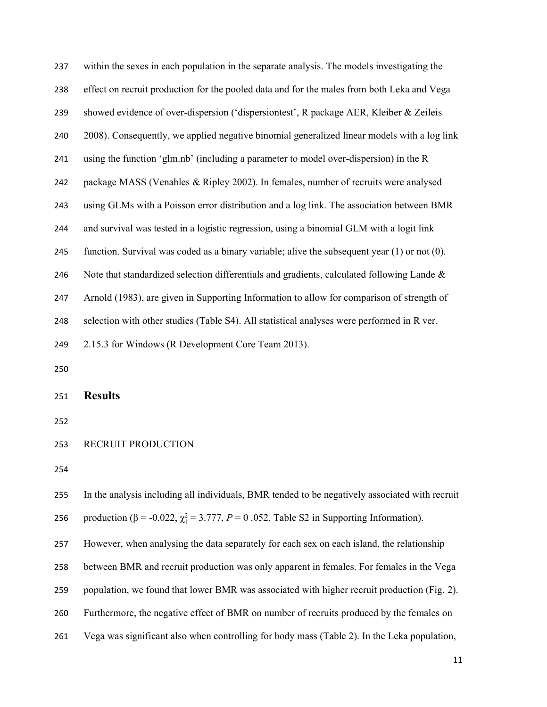| 237 | within the sexes in each population in the separate analysis. The models investigating the            |
|-----|-------------------------------------------------------------------------------------------------------|
| 238 | effect on recruit production for the pooled data and for the males from both Leka and Vega            |
| 239 | showed evidence of over-dispersion ('dispersiontest', R package AER, Kleiber & Zeileis                |
| 240 | 2008). Consequently, we applied negative binomial generalized linear models with a log link           |
| 241 | using the function 'glm.nb' (including a parameter to model over-dispersion) in the R                 |
| 242 | package MASS (Venables & Ripley 2002). In females, number of recruits were analysed                   |
| 243 | using GLMs with a Poisson error distribution and a log link. The association between BMR              |
| 244 | and survival was tested in a logistic regression, using a binomial GLM with a logit link              |
| 245 | function. Survival was coded as a binary variable; alive the subsequent year $(1)$ or not $(0)$ .     |
| 246 | Note that standardized selection differentials and gradients, calculated following Lande &            |
| 247 | Arnold (1983), are given in Supporting Information to allow for comparison of strength of             |
| 248 | selection with other studies (Table S4). All statistical analyses were performed in R ver.            |
| 249 | 2.15.3 for Windows (R Development Core Team 2013).                                                    |
| 250 |                                                                                                       |
| 251 | <b>Results</b>                                                                                        |
| 252 |                                                                                                       |
| 253 | RECRUIT PRODUCTION                                                                                    |
| 254 |                                                                                                       |
| 255 | In the analysis including all individuals, BMR tended to be negatively associated with recruit        |
| 256 | production ( $\beta$ = -0.022, $\chi_1^2$ = 3.777, $P = 0$ .052, Table S2 in Supporting Information). |
| 257 | However, when analysing the data separately for each sex on each island, the relationship             |
| 258 | between BMR and recruit production was only apparent in females. For females in the Vega              |
| 259 |                                                                                                       |
|     | population, we found that lower BMR was associated with higher recruit production (Fig. 2).           |
| 260 | Furthermore, the negative effect of BMR on number of recruits produced by the females on              |
| 261 | Vega was significant also when controlling for body mass (Table 2). In the Leka population,           |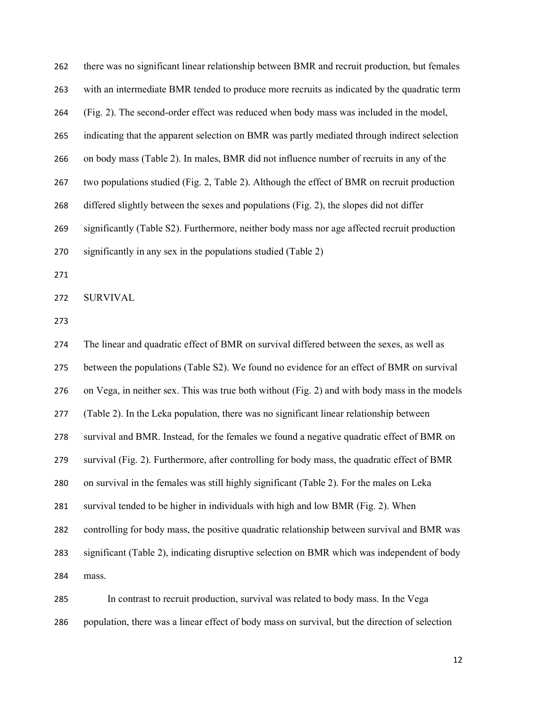| 262 | there was no significant linear relationship between BMR and recruit production, but females  |
|-----|-----------------------------------------------------------------------------------------------|
| 263 | with an intermediate BMR tended to produce more recruits as indicated by the quadratic term   |
| 264 | (Fig. 2). The second-order effect was reduced when body mass was included in the model,       |
| 265 | indicating that the apparent selection on BMR was partly mediated through indirect selection  |
| 266 | on body mass (Table 2). In males, BMR did not influence number of recruits in any of the      |
| 267 | two populations studied (Fig. 2, Table 2). Although the effect of BMR on recruit production   |
| 268 | differed slightly between the sexes and populations (Fig. 2), the slopes did not differ       |
| 269 | significantly (Table S2). Furthermore, neither body mass nor age affected recruit production  |
| 270 | significantly in any sex in the populations studied (Table 2)                                 |
| 271 |                                                                                               |
| 272 | <b>SURVIVAL</b>                                                                               |
| 273 |                                                                                               |
| 274 | The linear and quadratic effect of BMR on survival differed between the sexes, as well as     |
| 275 | between the populations (Table S2). We found no evidence for an effect of BMR on survival     |
| 276 | on Vega, in neither sex. This was true both without (Fig. 2) and with body mass in the models |
| 277 | (Table 2). In the Leka population, there was no significant linear relationship between       |
| 278 | survival and BMR. Instead, for the females we found a negative quadratic effect of BMR on     |

- survival (Fig. 2). Furthermore, after controlling for body mass, the quadratic effect of BMR
- on survival in the females was still highly significant (Table 2). For the males on Leka
- survival tended to be higher in individuals with high and low BMR (Fig. 2). When

controlling for body mass, the positive quadratic relationship between survival and BMR was

significant (Table 2), indicating disruptive selection on BMR which was independent of body mass.

In contrast to recruit production, survival was related to body mass. In the Vega population, there was a linear effect of body mass on survival, but the direction of selection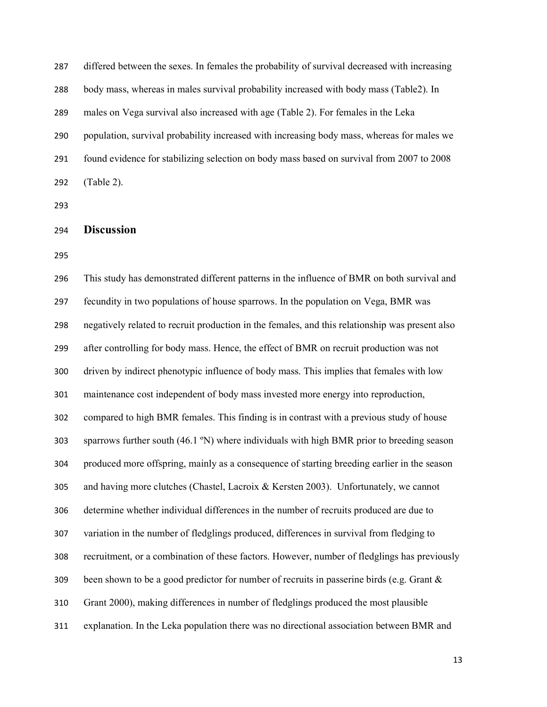differed between the sexes. In females the probability of survival decreased with increasing body mass, whereas in males survival probability increased with body mass (Table2). In males on Vega survival also increased with age (Table 2). For females in the Leka population, survival probability increased with increasing body mass, whereas for males we found evidence for stabilizing selection on body mass based on survival from 2007 to 2008 (Table 2).

### Discussion

This study has demonstrated different patterns in the influence of BMR on both survival and fecundity in two populations of house sparrows. In the population on Vega, BMR was negatively related to recruit production in the females, and this relationship was present also after controlling for body mass. Hence, the effect of BMR on recruit production was not driven by indirect phenotypic influence of body mass. This implies that females with low maintenance cost independent of body mass invested more energy into reproduction, compared to high BMR females. This finding is in contrast with a previous study of house sparrows further south (46.1 ºN) where individuals with high BMR prior to breeding season produced more offspring, mainly as a consequence of starting breeding earlier in the season and having more clutches (Chastel, Lacroix & Kersten 2003). Unfortunately, we cannot determine whether individual differences in the number of recruits produced are due to variation in the number of fledglings produced, differences in survival from fledging to recruitment, or a combination of these factors. However, number of fledglings has previously 309 been shown to be a good predictor for number of recruits in passerine birds (e.g. Grant  $\&$ Grant 2000), making differences in number of fledglings produced the most plausible explanation. In the Leka population there was no directional association between BMR and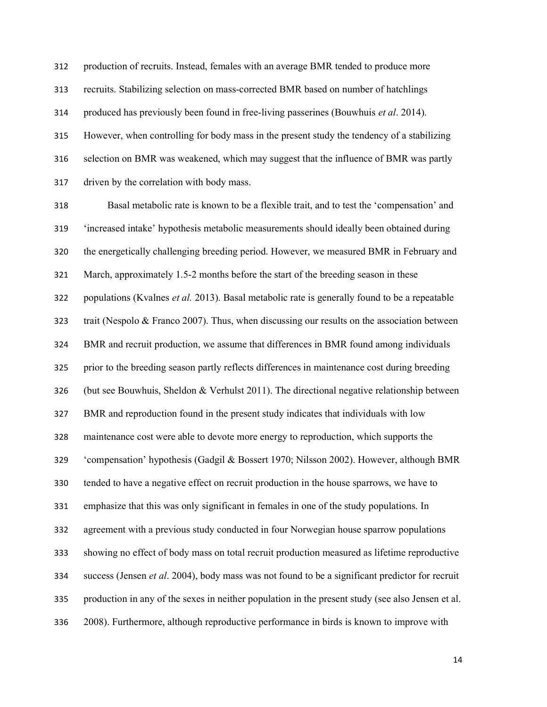production of recruits. Instead, females with an average BMR tended to produce more recruits. Stabilizing selection on mass-corrected BMR based on number of hatchlings 314 produced has previously been found in free-living passerines (Bouwhuis *et al.* 2014). However, when controlling for body mass in the present study the tendency of a stabilizing selection on BMR was weakened, which may suggest that the influence of BMR was partly driven by the correlation with body mass.

Basal metabolic rate is known to be a flexible trait, and to test the 'compensation' and 'increased intake' hypothesis metabolic measurements should ideally been obtained during the energetically challenging breeding period. However, we measured BMR in February and March, approximately 1.5-2 months before the start of the breeding season in these 322 populations (Kvalnes et al. 2013). Basal metabolic rate is generally found to be a repeatable trait (Nespolo & Franco 2007). Thus, when discussing our results on the association between BMR and recruit production, we assume that differences in BMR found among individuals prior to the breeding season partly reflects differences in maintenance cost during breeding (but see Bouwhuis, Sheldon & Verhulst 2011). The directional negative relationship between BMR and reproduction found in the present study indicates that individuals with low maintenance cost were able to devote more energy to reproduction, which supports the 'compensation' hypothesis (Gadgil & Bossert 1970; Nilsson 2002). However, although BMR tended to have a negative effect on recruit production in the house sparrows, we have to emphasize that this was only significant in females in one of the study populations. In agreement with a previous study conducted in four Norwegian house sparrow populations showing no effect of body mass on total recruit production measured as lifetime reproductive 334 success (Jensen *et al.* 2004), body mass was not found to be a significant predictor for recruit production in any of the sexes in neither population in the present study (see also Jensen et al. 2008). Furthermore, although reproductive performance in birds is known to improve with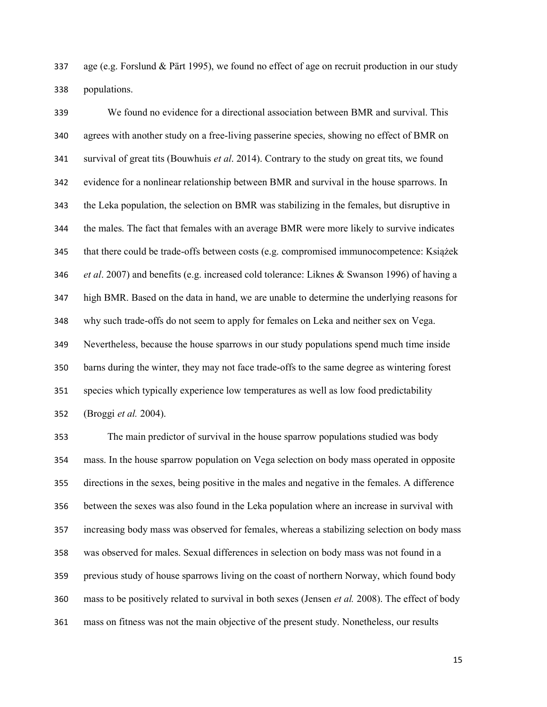age (e.g. Forslund & Pärt 1995), we found no effect of age on recruit production in our study populations.

We found no evidence for a directional association between BMR and survival. This agrees with another study on a free-living passerine species, showing no effect of BMR on 341 survival of great tits (Bouwhuis et al. 2014). Contrary to the study on great tits, we found evidence for a nonlinear relationship between BMR and survival in the house sparrows. In the Leka population, the selection on BMR was stabilizing in the females, but disruptive in the males. The fact that females with an average BMR were more likely to survive indicates that there could be trade-offs between costs (e.g. compromised immunocompetence: Książek *et al.* 2007) and benefits (e.g. increased cold tolerance: Liknes & Swanson 1996) of having a high BMR. Based on the data in hand, we are unable to determine the underlying reasons for why such trade-offs do not seem to apply for females on Leka and neither sex on Vega. Nevertheless, because the house sparrows in our study populations spend much time inside barns during the winter, they may not face trade-offs to the same degree as wintering forest species which typically experience low temperatures as well as low food predictability (Broggi et al. 2004).

The main predictor of survival in the house sparrow populations studied was body mass. In the house sparrow population on Vega selection on body mass operated in opposite directions in the sexes, being positive in the males and negative in the females. A difference between the sexes was also found in the Leka population where an increase in survival with increasing body mass was observed for females, whereas a stabilizing selection on body mass was observed for males. Sexual differences in selection on body mass was not found in a previous study of house sparrows living on the coast of northern Norway, which found body 360 mass to be positively related to survival in both sexes (Jensen et al. 2008). The effect of body mass on fitness was not the main objective of the present study. Nonetheless, our results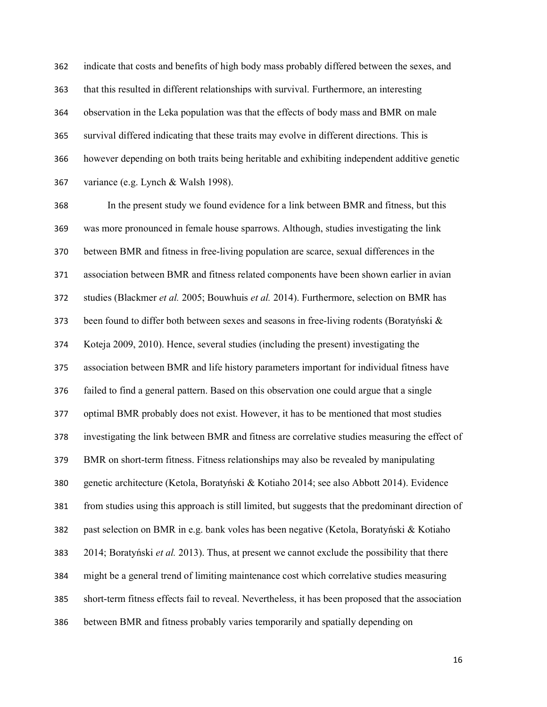indicate that costs and benefits of high body mass probably differed between the sexes, and that this resulted in different relationships with survival. Furthermore, an interesting observation in the Leka population was that the effects of body mass and BMR on male survival differed indicating that these traits may evolve in different directions. This is however depending on both traits being heritable and exhibiting independent additive genetic variance (e.g. Lynch & Walsh 1998).

In the present study we found evidence for a link between BMR and fitness, but this was more pronounced in female house sparrows. Although, studies investigating the link between BMR and fitness in free-living population are scarce, sexual differences in the association between BMR and fitness related components have been shown earlier in avian 372 studies (Blackmer et al. 2005; Bouwhuis et al. 2014). Furthermore, selection on BMR has 373 been found to differ both between sexes and seasons in free-living rodents (Boratyński  $\&$ Koteja 2009, 2010). Hence, several studies (including the present) investigating the association between BMR and life history parameters important for individual fitness have failed to find a general pattern. Based on this observation one could argue that a single optimal BMR probably does not exist. However, it has to be mentioned that most studies investigating the link between BMR and fitness are correlative studies measuring the effect of BMR on short-term fitness. Fitness relationships may also be revealed by manipulating genetic architecture (Ketola, Boratyński & Kotiaho 2014; see also Abbott 2014). Evidence from studies using this approach is still limited, but suggests that the predominant direction of past selection on BMR in e.g. bank voles has been negative (Ketola, Boratyński & Kotiaho 383 2014; Boratyński et al. 2013). Thus, at present we cannot exclude the possibility that there might be a general trend of limiting maintenance cost which correlative studies measuring short-term fitness effects fail to reveal. Nevertheless, it has been proposed that the association between BMR and fitness probably varies temporarily and spatially depending on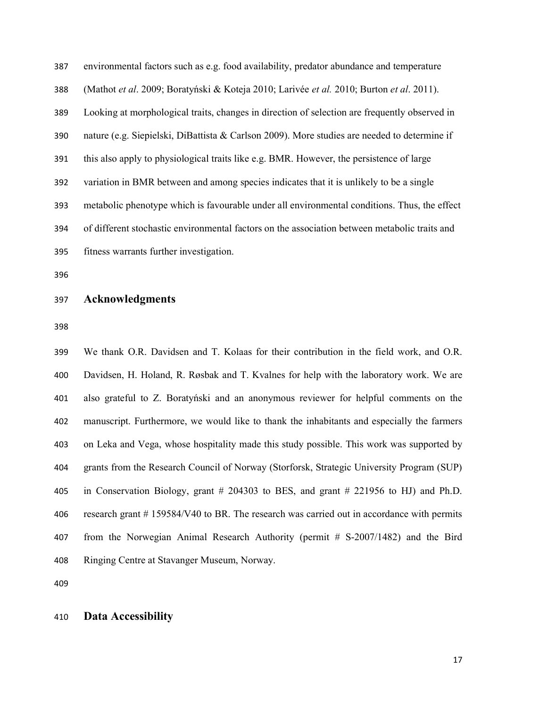environmental factors such as e.g. food availability, predator abundance and temperature 388 (Mathot et al. 2009; Boratyński & Koteja 2010; Larivée et al. 2010; Burton et al. 2011). Looking at morphological traits, changes in direction of selection are frequently observed in nature (e.g. Siepielski, DiBattista & Carlson 2009). More studies are needed to determine if this also apply to physiological traits like e.g. BMR. However, the persistence of large variation in BMR between and among species indicates that it is unlikely to be a single metabolic phenotype which is favourable under all environmental conditions. Thus, the effect of different stochastic environmental factors on the association between metabolic traits and fitness warrants further investigation.

#### Acknowledgments

We thank O.R. Davidsen and T. Kolaas for their contribution in the field work, and O.R. Davidsen, H. Holand, R. Røsbak and T. Kvalnes for help with the laboratory work. We are also grateful to Z. Boratyński and an anonymous reviewer for helpful comments on the manuscript. Furthermore, we would like to thank the inhabitants and especially the farmers on Leka and Vega, whose hospitality made this study possible. This work was supported by grants from the Research Council of Norway (Storforsk, Strategic University Program (SUP) in Conservation Biology, grant # 204303 to BES, and grant # 221956 to HJ) and Ph.D. 406 research grant # 159584/V40 to BR. The research was carried out in accordance with permits from the Norwegian Animal Research Authority (permit # S-2007/1482) and the Bird Ringing Centre at Stavanger Museum, Norway.

#### Data Accessibility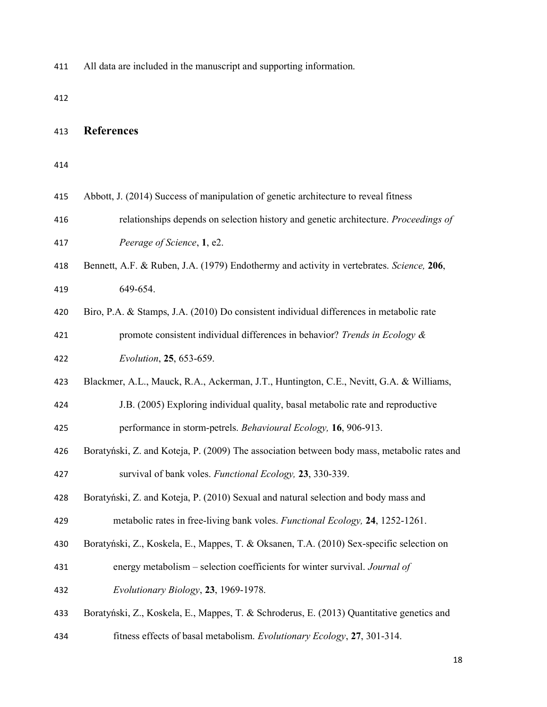All data are included in the manuscript and supporting information.

### References

| 415 |  |  |  |  |  |  |  | Abbott, J. (2014) Success of manipulation of genetic architecture to reveal fitness |
|-----|--|--|--|--|--|--|--|-------------------------------------------------------------------------------------|
|-----|--|--|--|--|--|--|--|-------------------------------------------------------------------------------------|

- relationships depends on selection history and genetic architecture. Proceedings of Peerage of Science, 1, e2.
- Bennett, A.F. & Ruben, J.A. (1979) Endothermy and activity in vertebrates. Science, 206, 649-654.
- Biro, P.A. & Stamps, J.A. (2010) Do consistent individual differences in metabolic rate promote consistent individual differences in behavior? Trends in Ecology & Evolution, 25, 653-659.
- Blackmer, A.L., Mauck, R.A., Ackerman, J.T., Huntington, C.E., Nevitt, G.A. & Williams,

J.B. (2005) Exploring individual quality, basal metabolic rate and reproductive performance in storm-petrels. Behavioural Ecology, 16, 906-913.

Boratyński, Z. and Koteja, P. (2009) The association between body mass, metabolic rates and 427 survival of bank voles. Functional Ecology, 23, 330-339.

Boratyński, Z. and Koteja, P. (2010) Sexual and natural selection and body mass and 429 metabolic rates in free-living bank voles. Functional Ecology, 24, 1252-1261.

- Boratyński, Z., Koskela, E., Mappes, T. & Oksanen, T.A. (2010) Sex-specific selection on
- energy metabolism selection coefficients for winter survival. Journal of
- Evolutionary Biology, 23, 1969-1978.
- Boratyński, Z., Koskela, E., Mappes, T. & Schroderus, E. (2013) Quantitative genetics and
- 434 fitness effects of basal metabolism. Evolutionary Ecology, 27, 301-314.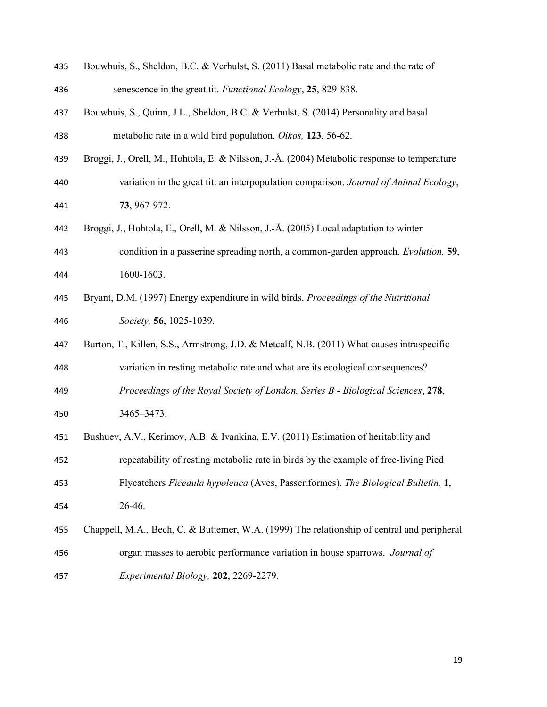| 435 | Bouwhuis, S., Sheldon, B.C. & Verhulst, S. (2011) Basal metabolic rate and the rate of       |
|-----|----------------------------------------------------------------------------------------------|
| 436 | senescence in the great tit. Functional Ecology, 25, 829-838.                                |
| 437 | Bouwhuis, S., Quinn, J.L., Sheldon, B.C. & Verhulst, S. (2014) Personality and basal         |
| 438 | metabolic rate in a wild bird population. Oikos, 123, 56-62.                                 |
| 439 | Broggi, J., Orell, M., Hohtola, E. & Nilsson, J.-Å. (2004) Metabolic response to temperature |
| 440 | variation in the great tit: an interpopulation comparison. Journal of Animal Ecology,        |
| 441 | 73, 967-972.                                                                                 |
| 442 | Broggi, J., Hohtola, E., Orell, M. & Nilsson, J.-Å. (2005) Local adaptation to winter        |
| 443 | condition in a passerine spreading north, a common-garden approach. Evolution, 59,           |
| 444 | 1600-1603.                                                                                   |
| 445 | Bryant, D.M. (1997) Energy expenditure in wild birds. Proceedings of the Nutritional         |
| 446 | Society, 56, 1025-1039.                                                                      |
| 447 | Burton, T., Killen, S.S., Armstrong, J.D. & Metcalf, N.B. (2011) What causes intraspecific   |
| 448 | variation in resting metabolic rate and what are its ecological consequences?                |
| 449 | Proceedings of the Royal Society of London. Series B - Biological Sciences, 278,             |
| 450 | 3465-3473.                                                                                   |
| 451 | Bushuev, A.V., Kerimov, A.B. & Ivankina, E.V. (2011) Estimation of heritability and          |
| 452 | repeatability of resting metabolic rate in birds by the example of free-living Pied          |
| 453 | Flycatchers Ficedula hypoleuca (Aves, Passeriformes). The Biological Bulletin, 1,            |
| 454 | 26-46.                                                                                       |
| 455 | Chappell, M.A., Bech, C. & Buttemer, W.A. (1999) The relationship of central and peripheral  |
| 456 | organ masses to aerobic performance variation in house sparrows. Journal of                  |
| 457 | Experimental Biology, 202, 2269-2279.                                                        |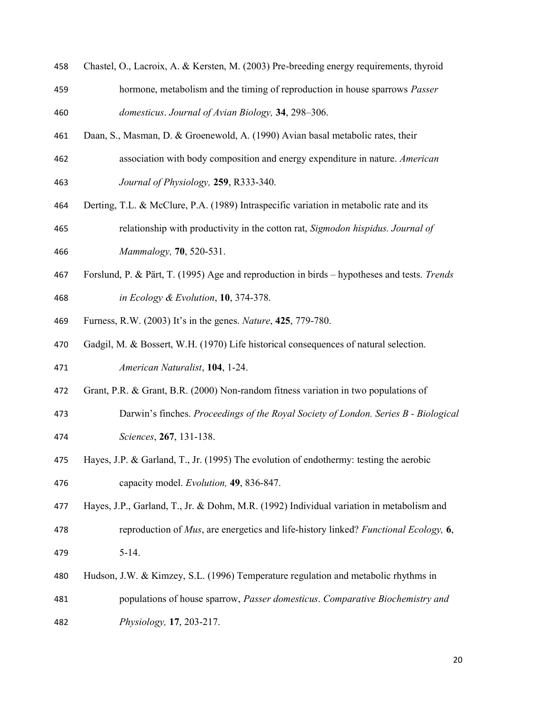Chastel, O., Lacroix, A. & Kersten, M. (2003) Pre-breeding energy requirements, thyroid 459 hormone, metabolism and the timing of reproduction in house sparrows *Passer* 

460 domesticus. Journal of Avian Biology, 34, 298–306.

- Daan, S., Masman, D. & Groenewold, A. (1990) Avian basal metabolic rates, their 462 association with body composition and energy expenditure in nature. American
- Journal of Physiology, 259, R333-340.
- Derting, T.L. & McClure, P.A. (1989) Intraspecific variation in metabolic rate and its
- relationship with productivity in the cotton rat, Sigmodon hispidus. Journal of Mammalogy, 70, 520-531.
- Forslund, P. & Pärt, T. (1995) Age and reproduction in birds hypotheses and tests. Trends in Ecology & Evolution, 10, 374-378.
- Furness, R.W. (2003) It's in the genes. Nature, 425, 779-780.
- Gadgil, M. & Bossert, W.H. (1970) Life historical consequences of natural selection.
- American Naturalist, 104, 1-24.
- Grant, P.R. & Grant, B.R. (2000) Non-random fitness variation in two populations of
- Darwin's finches. Proceedings of the Royal Society of London. Series B Biological Sciences, 267, 131-138.
- Hayes, J.P. & Garland, T., Jr. (1995) The evolution of endothermy: testing the aerobic capacity model. Evolution, 49, 836-847.
- Hayes, J.P., Garland, T., Jr. & Dohm, M.R. (1992) Individual variation in metabolism and 478 reproduction of *Mus*, are energetics and life-history linked? Functional Ecology, 6, 5-14.
- Hudson, J.W. & Kimzey, S.L. (1996) Temperature regulation and metabolic rhythms in populations of house sparrow, Passer domesticus. Comparative Biochemistry and Physiology, 17, 203-217.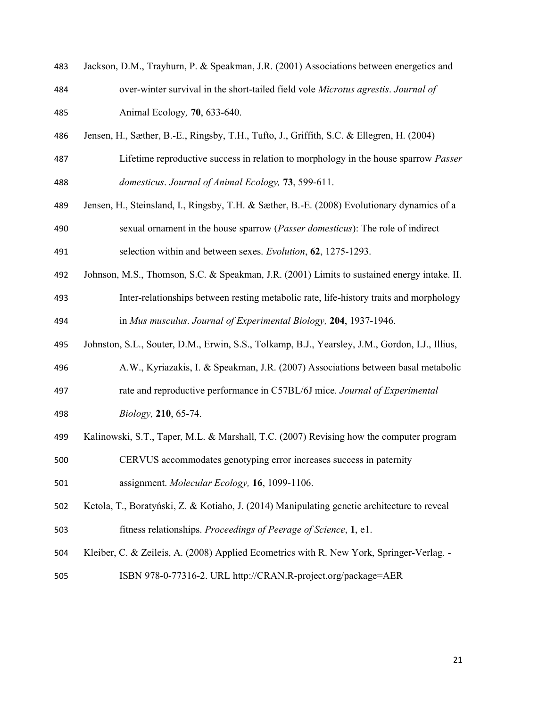| 483 | Jackson, D.M., Trayhurn, P. & Speakman, J.R. (2001) Associations between energetics and  |
|-----|------------------------------------------------------------------------------------------|
| 484 | over-winter survival in the short-tailed field vole <i>Microtus agrestis. Journal of</i> |
| 485 | Animal Ecology, <b>70</b> , 633-640.                                                     |

- Jensen, H., Sæther, B.-E., Ringsby, T.H., Tufto, J., Griffith, S.C. & Ellegren, H. (2004)
- 487 Lifetime reproductive success in relation to morphology in the house sparrow *Passer* domesticus. Journal of Animal Ecology, 73, 599-611.
- Jensen, H., Steinsland, I., Ringsby, T.H. & Sæther, B.-E. (2008) Evolutionary dynamics of a 490 sexual ornament in the house sparrow (*Passer domesticus*): The role of indirect selection within and between sexes. Evolution, 62, 1275-1293.
- Johnson, M.S., Thomson, S.C. & Speakman, J.R. (2001) Limits to sustained energy intake. II. Inter-relationships between resting metabolic rate, life-history traits and morphology in Mus musculus. Journal of Experimental Biology, 204, 1937-1946.
- Johnston, S.L., Souter, D.M., Erwin, S.S., Tolkamp, B.J., Yearsley, J.M., Gordon, I.J., Illius,
- A.W., Kyriazakis, I. & Speakman, J.R. (2007) Associations between basal metabolic
- 497 rate and reproductive performance in C57BL/6J mice. Journal of Experimental
- Biology, 210, 65-74.
- Kalinowski, S.T., Taper, M.L. & Marshall, T.C. (2007) Revising how the computer program
- CERVUS accommodates genotyping error increases success in paternity assignment. Molecular Ecology, 16, 1099-1106.
- Ketola, T., Boratyński, Z. & Kotiaho, J. (2014) Manipulating genetic architecture to reveal fitness relationships. Proceedings of Peerage of Science, 1, e1.
- Kleiber, C. & Zeileis, A. (2008) Applied Ecometrics with R. New York, Springer-Verlag. -
- ISBN 978-0-77316-2. URL http://CRAN.R-project.org/package=AER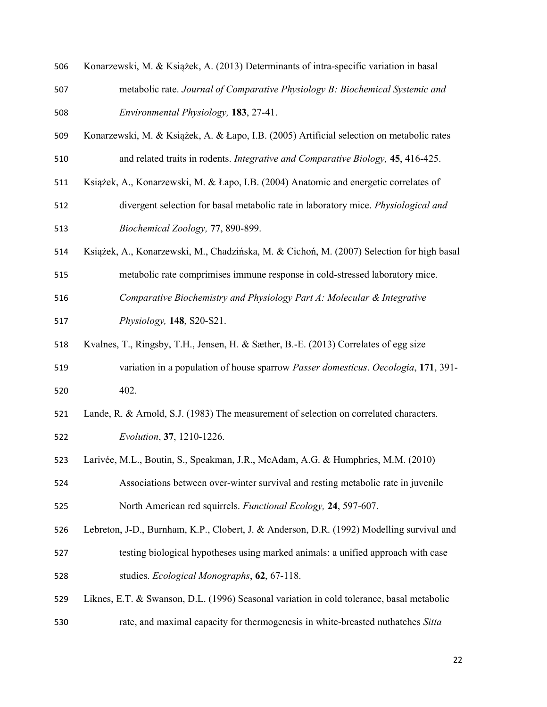- Konarzewski, M. & Książek, A. (2013) Determinants of intra-specific variation in basal
- metabolic rate. Journal of Comparative Physiology B: Biochemical Systemic and Environmental Physiology, 183, 27-41.
- Konarzewski, M. & Książek, A. & Łapo, I.B. (2005) Artificial selection on metabolic rates and related traits in rodents. Integrative and Comparative Biology, 45, 416-425.
- Książek, A., Konarzewski, M. & Łapo, I.B. (2004) Anatomic and energetic correlates of
- divergent selection for basal metabolic rate in laboratory mice. Physiological and Biochemical Zoology, 77, 890-899.
- Książek, A., Konarzewski, M., Chadzińska, M. & Cichoń, M. (2007) Selection for high basal
- metabolic rate comprimises immune response in cold-stressed laboratory mice.
- Comparative Biochemistry and Physiology Part A: Molecular & Integrative
- Physiology, 148, S20-S21.
- Kvalnes, T., Ringsby, T.H., Jensen, H. & Sæther, B.-E. (2013) Correlates of egg size
- variation in a population of house sparrow Passer domesticus. Oecologia, 171, 391- 402.
- Lande, R. & Arnold, S.J. (1983) The measurement of selection on correlated characters. Evolution, 37, 1210-1226.
- Larivée, M.L., Boutin, S., Speakman, J.R., McAdam, A.G. & Humphries, M.M. (2010)
- Associations between over-winter survival and resting metabolic rate in juvenile North American red squirrels. Functional Ecology, 24, 597-607.
- Lebreton, J-D., Burnham, K.P., Clobert, J. & Anderson, D.R. (1992) Modelling survival and testing biological hypotheses using marked animals: a unified approach with case studies. Ecological Monographs, 62, 67-118.
- Liknes, E.T. & Swanson, D.L. (1996) Seasonal variation in cold tolerance, basal metabolic rate, and maximal capacity for thermogenesis in white-breasted nuthatches Sitta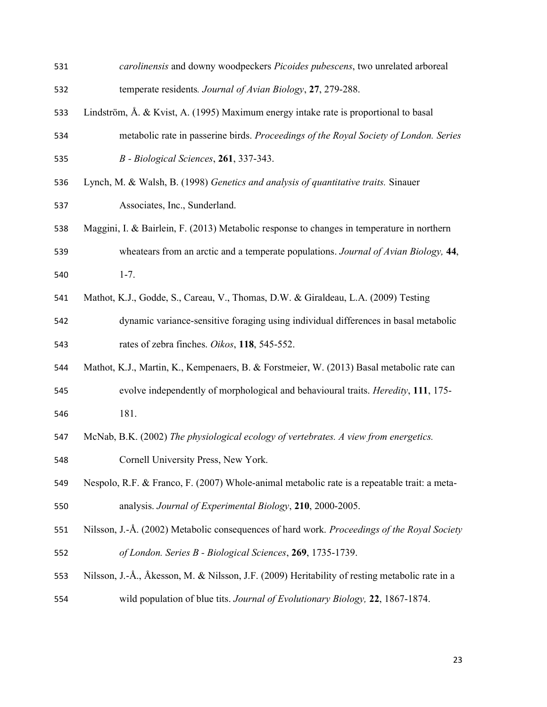| 531 | carolinensis and downy woodpeckers Picoides pubescens, two unrelated arboreal                  |
|-----|------------------------------------------------------------------------------------------------|
| 532 | temperate residents. Journal of Avian Biology, 27, 279-288.                                    |
| 533 | Lindström, Å. & Kvist, A. (1995) Maximum energy intake rate is proportional to basal           |
| 534 | metabolic rate in passerine birds. Proceedings of the Royal Society of London. Series          |
| 535 | B - Biological Sciences, 261, 337-343.                                                         |
| 536 | Lynch, M. & Walsh, B. (1998) Genetics and analysis of quantitative traits. Sinauer             |
| 537 | Associates, Inc., Sunderland.                                                                  |
| 538 | Maggini, I. & Bairlein, F. (2013) Metabolic response to changes in temperature in northern     |
| 539 | wheatears from an arctic and a temperate populations. Journal of Avian Biology, 44,            |
| 540 | $1 - 7.$                                                                                       |
| 541 | Mathot, K.J., Godde, S., Careau, V., Thomas, D.W. & Giraldeau, L.A. (2009) Testing             |
| 542 | dynamic variance-sensitive foraging using individual differences in basal metabolic            |
| 543 | rates of zebra finches. Oikos, 118, 545-552.                                                   |
| 544 | Mathot, K.J., Martin, K., Kempenaers, B. & Forstmeier, W. (2013) Basal metabolic rate can      |
| 545 | evolve independently of morphological and behavioural traits. <i>Heredity</i> , 111, 175-      |
| 546 | 181.                                                                                           |
| 547 | McNab, B.K. (2002) The physiological ecology of vertebrates. A view from energetics.           |
| 548 | Cornell University Press, New York.                                                            |
| 549 | Nespolo, R.F. & Franco, F. (2007) Whole-animal metabolic rate is a repeatable trait: a meta-   |
| 550 | analysis. Journal of Experimental Biology, 210, 2000-2005.                                     |
| 551 | Nilsson, J.-Å. (2002) Metabolic consequences of hard work. Proceedings of the Royal Society    |
| 552 | of London. Series B - Biological Sciences, 269, 1735-1739.                                     |
| 553 | Nilsson, J.-Å., Åkesson, M. & Nilsson, J.F. (2009) Heritability of resting metabolic rate in a |
| 554 | wild population of blue tits. Journal of Evolutionary Biology, 22, 1867-1874.                  |
|     |                                                                                                |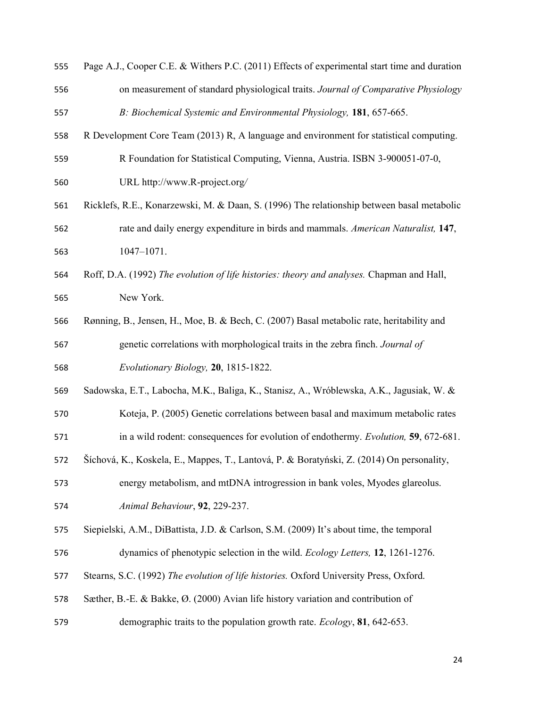| 555 | Page A.J., Cooper C.E. & Withers P.C. (2011) Effects of experimental start time and duration |
|-----|----------------------------------------------------------------------------------------------|
| 556 | on measurement of standard physiological traits. Journal of Comparative Physiology           |
| 557 | B: Biochemical Systemic and Environmental Physiology, 181, 657-665.                          |
| 558 | R Development Core Team (2013) R, A language and environment for statistical computing.      |
| 559 | R Foundation for Statistical Computing, Vienna, Austria. ISBN 3-900051-07-0,                 |
| 560 | URL http://www.R-project.org/                                                                |
| 561 | Ricklefs, R.E., Konarzewski, M. & Daan, S. (1996) The relationship between basal metabolic   |
| 562 | rate and daily energy expenditure in birds and mammals. American Naturalist, 147,            |
| 563 | $1047 - 1071.$                                                                               |
| 564 | Roff, D.A. (1992) The evolution of life histories: theory and analyses. Chapman and Hall,    |
| 565 | New York.                                                                                    |
| 566 | Rønning, B., Jensen, H., Moe, B. & Bech, C. (2007) Basal metabolic rate, heritability and    |
| 567 | genetic correlations with morphological traits in the zebra finch. Journal of                |
| 568 | Evolutionary Biology, 20, 1815-1822.                                                         |
| 569 | Sadowska, E.T., Labocha, M.K., Baliga, K., Stanisz, A., Wróblewska, A.K., Jagusiak, W. &     |
| 570 | Koteja, P. (2005) Genetic correlations between basal and maximum metabolic rates             |
| 571 | in a wild rodent: consequences for evolution of endothermy. Evolution, 59, 672-681.          |
| 572 | Šíchová, K., Koskela, E., Mappes, T., Lantová, P. & Boratyński, Z. (2014) On personality,    |
| 573 | energy metabolism, and mtDNA introgression in bank voles, Myodes glareolus.                  |
| 574 | Animal Behaviour, 92, 229-237.                                                               |
| 575 | Siepielski, A.M., DiBattista, J.D. & Carlson, S.M. (2009) It's about time, the temporal      |
| 576 | dynamics of phenotypic selection in the wild. Ecology Letters, 12, 1261-1276.                |
| 577 | Stearns, S.C. (1992) The evolution of life histories. Oxford University Press, Oxford.       |
| 578 | Sæther, B.-E. & Bakke, Ø. (2000) Avian life history variation and contribution of            |
| 579 | demographic traits to the population growth rate. <i>Ecology</i> , 81, 642-653.              |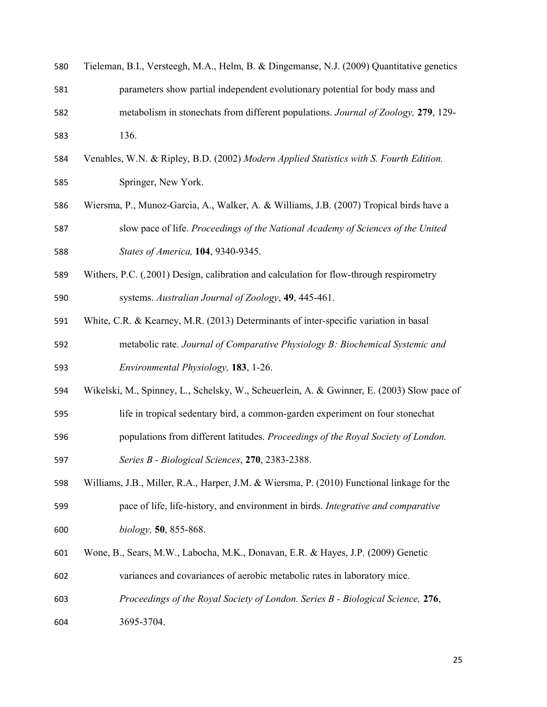| 580 | Tieleman, B.I., Versteegh, M.A., Helm, B. & Dingemanse, N.J. (2009) Quantitative genetics  |
|-----|--------------------------------------------------------------------------------------------|
| 581 | parameters show partial independent evolutionary potential for body mass and               |
| 582 | metabolism in stonechats from different populations. Journal of Zoology, 279, 129-         |
| 583 | 136.                                                                                       |
| 584 | Venables, W.N. & Ripley, B.D. (2002) Modern Applied Statistics with S. Fourth Edition.     |
| 585 | Springer, New York.                                                                        |
| 586 | Wiersma, P., Munoz-Garcia, A., Walker, A. & Williams, J.B. (2007) Tropical birds have a    |
| 587 | slow pace of life. Proceedings of the National Academy of Sciences of the United           |
| 588 | States of America, 104, 9340-9345.                                                         |
| 589 | Withers, P.C. (,2001) Design, calibration and calculation for flow-through respirometry    |
| 590 | systems. Australian Journal of Zoology, 49, 445-461.                                       |
| 591 | White, C.R. & Kearney, M.R. (2013) Determinants of inter-specific variation in basal       |
| 592 | metabolic rate. Journal of Comparative Physiology B: Biochemical Systemic and              |
| 593 | Environmental Physiology, 183, 1-26.                                                       |
| 594 | Wikelski, M., Spinney, L., Schelsky, W., Scheuerlein, A. & Gwinner, E. (2003) Slow pace of |
| 595 | life in tropical sedentary bird, a common-garden experiment on four stonechat              |
| 596 | populations from different latitudes. Proceedings of the Royal Society of London.          |
| 597 | Series B - Biological Sciences, 270, 2383-2388.                                            |
| 598 | Williams, J.B., Miller, R.A., Harper, J.M. & Wiersma, P. (2010) Functional linkage for the |
| 599 | pace of life, life-history, and environment in birds. Integrative and comparative          |
| 600 | biology, 50, 855-868.                                                                      |
| 601 | Wone, B., Sears, M.W., Labocha, M.K., Donavan, E.R. & Hayes, J.P. (2009) Genetic           |
| 602 | variances and covariances of aerobic metabolic rates in laboratory mice.                   |
| 603 | Proceedings of the Royal Society of London. Series B - Biological Science, 276,            |
| 604 | 3695-3704.                                                                                 |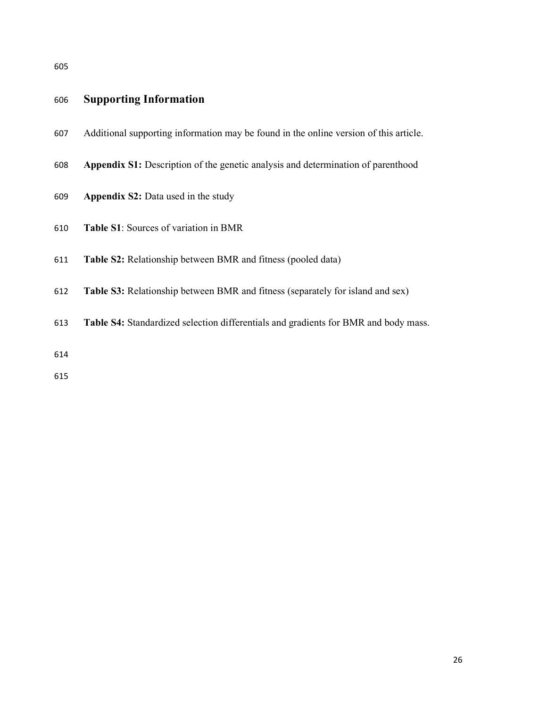## Supporting Information

- Additional supporting information may be found in the online version of this article.
- Appendix S1: Description of the genetic analysis and determination of parenthood
- Appendix S2: Data used in the study
- Table S1: Sources of variation in BMR
- Table S2: Relationship between BMR and fitness (pooled data)
- Table S3: Relationship between BMR and fitness (separately for island and sex)
- Table S4: Standardized selection differentials and gradients for BMR and body mass.
-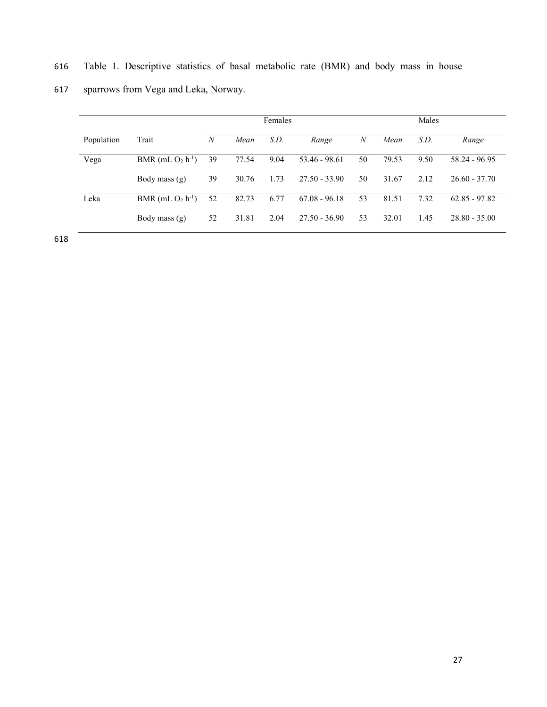|            |                                 | <b>Females</b> |       |      |                 |                  |       | Males |                 |  |
|------------|---------------------------------|----------------|-------|------|-----------------|------------------|-------|-------|-----------------|--|
| Population | Trait                           | N              | Mean  | S.D. | Range           | $\boldsymbol{N}$ | Mean  | S.D.  | Range           |  |
| Vega       | BMR (mL $O_2$ h <sup>-1</sup> ) | 39             | 77.54 | 9.04 | 53.46 - 98.61   | 50               | 79.53 | 9.50  | 58.24 - 96.95   |  |
|            | Body mass (g)                   | 39             | 30.76 | 1.73 | $27.50 - 33.90$ | 50               | 31.67 | 2.12  | $26.60 - 37.70$ |  |
| Leka       | BMR (mL $O2 h-1$ )              | 52             | 82.73 | 6.77 | $67.08 - 96.18$ | 53               | 81.51 | 7.32  | $62.85 - 97.82$ |  |
|            | Body mass (g)                   | 52             | 31.81 | 2.04 | $27.50 - 36.90$ | 53               | 32.01 | 1.45  | $28.80 - 35.00$ |  |

616 Table 1. Descriptive statistics of basal metabolic rate (BMR) and body mass in house

617 sparrows from Vega and Leka, Norway.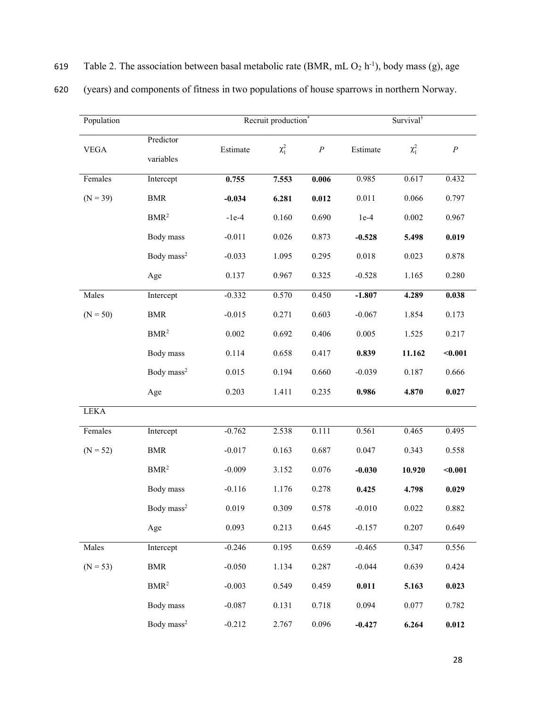| Population  |                        |          | Recruit production* |          | Survival <sup>†</sup> |            |          |  |
|-------------|------------------------|----------|---------------------|----------|-----------------------|------------|----------|--|
| <b>VEGA</b> | Predictor<br>variables | Estimate | $\chi_1^2$          | $\cal P$ | Estimate              | $\chi_1^2$ | $\cal P$ |  |
| Females     | Intercept              | 0.755    | 7.553               | 0.006    | 0.985                 | 0.617      | 0.432    |  |
| $(N = 39)$  | <b>BMR</b>             | $-0.034$ | 6.281               | 0.012    | 0.011                 | 0.066      | 0.797    |  |
|             | BMR <sup>2</sup>       | $-1e-4$  | 0.160               | 0.690    | $1e-4$                | 0.002      | 0.967    |  |
|             | Body mass              | $-0.011$ | 0.026               | 0.873    | $-0.528$              | 5.498      | 0.019    |  |
|             | Body mass <sup>2</sup> | $-0.033$ | 1.095               | 0.295    | 0.018                 | 0.023      | 0.878    |  |
|             | Age                    | 0.137    | 0.967               | 0.325    | $-0.528$              | 1.165      | 0.280    |  |
| Males       | Intercept              | $-0.332$ | 0.570               | 0.450    | $-1.807$              | 4.289      | 0.038    |  |
| $(N = 50)$  | <b>BMR</b>             | $-0.015$ | 0.271               | 0.603    | $-0.067$              | 1.854      | 0.173    |  |
|             | BMR <sup>2</sup>       | 0.002    | 0.692               | 0.406    | 0.005                 | 1.525      | 0.217    |  |
|             | Body mass              | 0.114    | 0.658               | 0.417    | 0.839                 | 11.162     | $0.001$  |  |
|             | Body mass <sup>2</sup> | 0.015    | 0.194               | 0.660    | $-0.039$              | 0.187      | 0.666    |  |
|             | Age                    | 0.203    | 1.411               | 0.235    | 0.986                 | 4.870      | 0.027    |  |
| <b>LEKA</b> |                        |          |                     |          |                       |            |          |  |
| Females     | Intercept              | $-0.762$ | 2.538               | 0.111    | 0.561                 | 0.465      | 0.495    |  |
| $(N = 52)$  | $\operatorname{BMR}$   | $-0.017$ | 0.163               | 0.687    | 0.047                 | 0.343      | 0.558    |  |
|             | BMR <sup>2</sup>       | $-0.009$ | 3.152               | 0.076    | $-0.030$              | 10.920     | $0.001$  |  |
|             | Body mass              | $-0.116$ | 1.176               | 0.278    | 0.425                 | 4.798      | 0.029    |  |
|             | Body mass <sup>2</sup> | 0.019    | 0.309               | 0.578    | $-0.010$              | 0.022      | 0.882    |  |
|             | Age                    | 0.093    | 0.213               | 0.645    | $-0.157$              | 0.207      | 0.649    |  |
| Males       | Intercept              | $-0.246$ | 0.195               | 0.659    | $-0.465$              | 0.347      | 0.556    |  |
| $(N = 53)$  | <b>BMR</b>             | $-0.050$ | 1.134               | 0.287    | $-0.044$              | 0.639      | 0.424    |  |
|             | $\rm BMR^2$            | $-0.003$ | 0.549               | 0.459    | 0.011                 | 5.163      | 0.023    |  |
|             | Body mass              | $-0.087$ | 0.131               | 0.718    | 0.094                 | 0.077      | 0.782    |  |
|             | Body mass <sup>2</sup> | $-0.212$ | 2.767               | 0.096    | $-0.427$              | 6.264      | 0.012    |  |

| 619 |  |  |  |  |  | Table 2. The association between basal metabolic rate (BMR, mL $O_2$ h <sup>-1</sup> ), body mass (g), age |
|-----|--|--|--|--|--|------------------------------------------------------------------------------------------------------------|
|-----|--|--|--|--|--|------------------------------------------------------------------------------------------------------------|

620 (years) and components of fitness in two populations of house sparrows in northern Norway.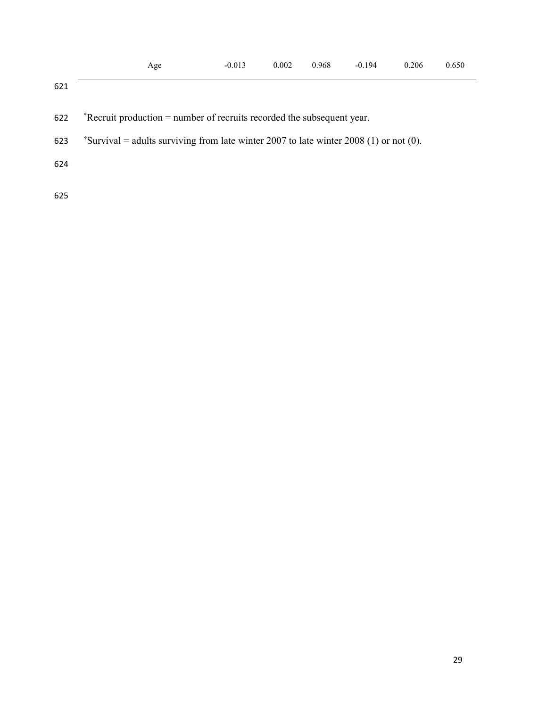- \*Recruit production = number of recruits recorded the subsequent year.
- 623  $\text{t}$  Survival = adults surviving from late winter 2007 to late winter 2008 (1) or not (0).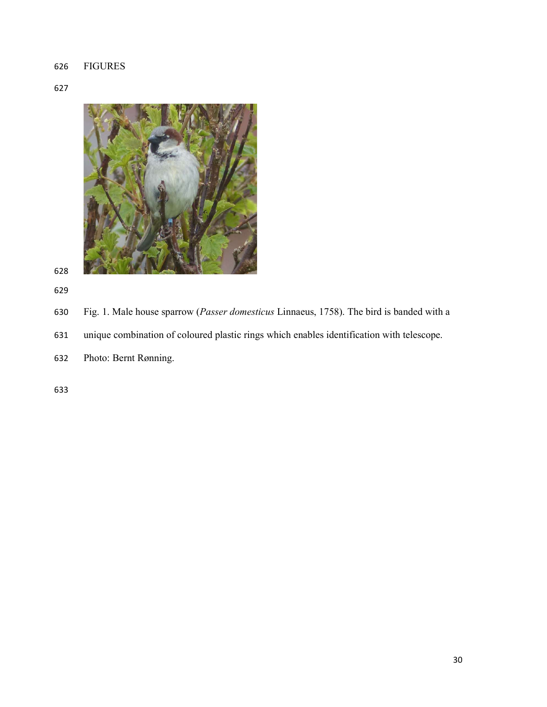# FIGURES

### 



- Fig. 1. Male house sparrow (Passer domesticus Linnaeus, 1758). The bird is banded with a
- unique combination of coloured plastic rings which enables identification with telescope.
- Photo: Bernt Rønning.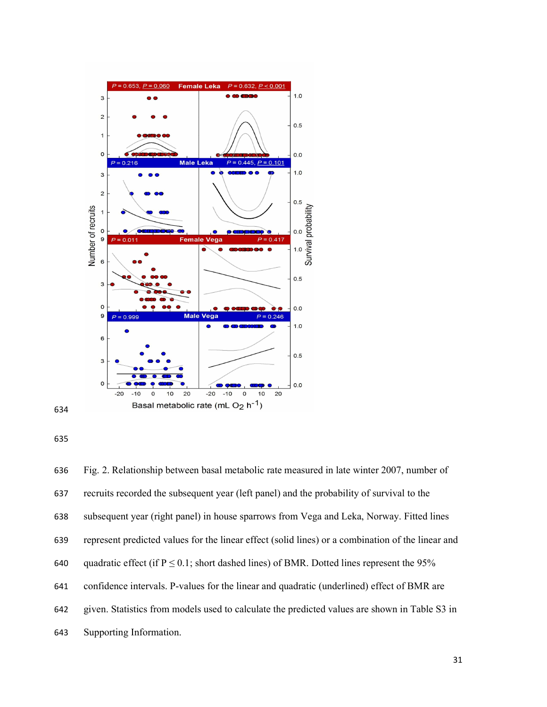





Fig. 2. Relationship between basal metabolic rate measured in late winter 2007, number of recruits recorded the subsequent year (left panel) and the probability of survival to the subsequent year (right panel) in house sparrows from Vega and Leka, Norway. Fitted lines represent predicted values for the linear effect (solid lines) or a combination of the linear and 640 quadratic effect (if  $P \le 0.1$ ; short dashed lines) of BMR. Dotted lines represent the 95% confidence intervals. P-values for the linear and quadratic (underlined) effect of BMR are given. Statistics from models used to calculate the predicted values are shown in Table S3 in Supporting Information.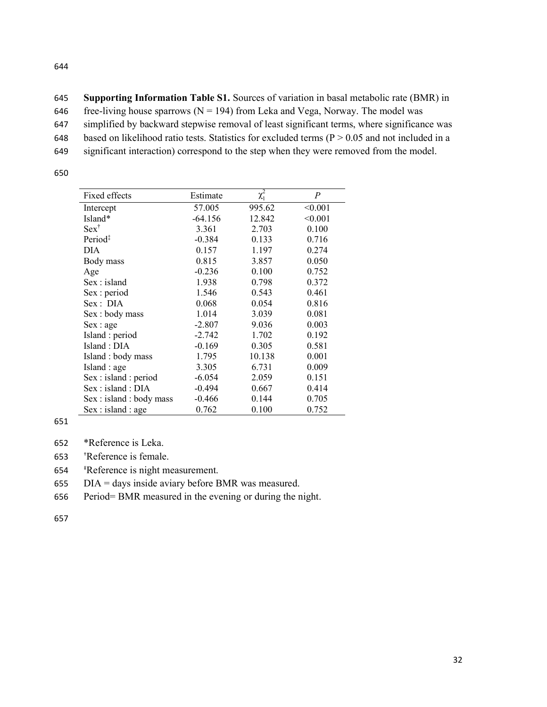| 645 | <b>Supporting Information Table S1.</b> Sources of variation in basal metabolic rate (BMR) in     |
|-----|---------------------------------------------------------------------------------------------------|
| 646 | free-living house sparrows ( $N = 194$ ) from Leka and Vega, Norway. The model was                |
| 647 | simplified by backward stepwise removal of least significant terms, where significance was        |
| 648 | based on likelihood ratio tests. Statistics for excluded terms ( $P > 0.05$ and not included in a |
| 649 | significant interaction) correspond to the step when they were removed from the model.            |

| Fixed effects            | Estimate  | $\chi_1^2$ | P       |
|--------------------------|-----------|------------|---------|
| Intercept                | 57.005    | 995.62     | < 0.001 |
| Island*                  | $-64.156$ | 12.842     | < 0.001 |
| $Sex^{\dagger}$          | 3.361     | 2.703      | 0.100   |
| Period <sup>‡</sup>      | $-0.384$  | 0.133      | 0.716   |
| DIA                      | 0.157     | 1.197      | 0.274   |
| Body mass                | 0.815     | 3.857      | 0.050   |
| Age                      | $-0.236$  | 0.100      | 0.752   |
| Sex : island             | 1.938     | 0.798      | 0.372   |
| Sex : period             | 1.546     | 0.543      | 0.461   |
| Sex: DIA                 | 0.068     | 0.054      | 0.816   |
| Sex: body mass           | 1.014     | 3.039      | 0.081   |
| Sex : age                | $-2.807$  | 9.036      | 0.003   |
| Island: period           | $-2.742$  | 1.702      | 0.192   |
| Island: DIA              | $-0.169$  | 0.305      | 0.581   |
| Island: body mass        | 1.795     | 10.138     | 0.001   |
| Island : age             | 3.305     | 6.731      | 0.009   |
| Sex : island : period    | $-6.054$  | 2.059      | 0.151   |
| Sex : island : DIA       | $-0.494$  | 0.667      | 0.414   |
| Sex : island : body mass | $-0.466$  | 0.144      | 0.705   |
| Sex : island : age       | 0.762     | 0.100      | 0.752   |

651

- 652 \*Reference is Leka.
- 653 †Reference is female.
- 654 ‡Reference is night measurement.

655 DIA = days inside aviary before BMR was measured.

656 Period= BMR measured in the evening or during the night.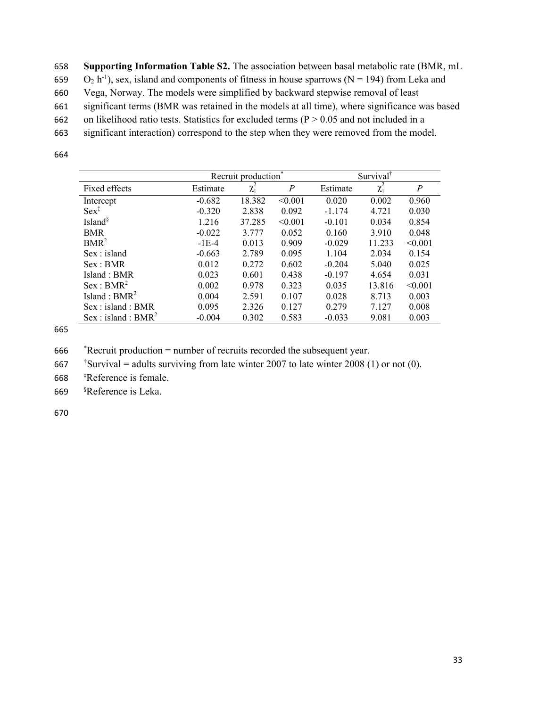658 Supporting Information Table S2. The association between basal metabolic rate (BMR, mL

659  $O_2$  h<sup>-1</sup>), sex, island and components of fitness in house sparrows (N = 194) from Leka and

660 Vega, Norway. The models were simplified by backward stepwise removal of least

661 significant terms (BMR was retained in the models at all time), where significance was based

662 on likelihood ratio tests. Statistics for excluded terms ( $P > 0.05$  and not included in a

663 significant interaction) correspond to the step when they were removed from the model.

664

|                                 | Recruit production <sup>*</sup> |            |                | Survival <sup>†</sup> |            |                  |  |
|---------------------------------|---------------------------------|------------|----------------|-----------------------|------------|------------------|--|
| Fixed effects                   | Estimate                        | $\chi_1^2$ | $\overline{P}$ | Estimate              | $\chi_1^2$ | $\boldsymbol{P}$ |  |
| Intercept                       | $-0.682$                        | 18.382     | < 0.001        | 0.020                 | 0.002      | 0.960            |  |
| $Sex^{\ddagger}$                | $-0.320$                        | 2.838      | 0.092          | $-1.174$              | 4.721      | 0.030            |  |
| Island <sup>§</sup>             | 1.216                           | 37.285     | < 0.001        | $-0.101$              | 0.034      | 0.854            |  |
| <b>BMR</b>                      | $-0.022$                        | 3.777      | 0.052          | 0.160                 | 3.910      | 0.048            |  |
| $BMR^2$                         | $-1E-4$                         | 0.013      | 0.909          | $-0.029$              | 11.233     | < 0.001          |  |
| Sex : island                    | $-0.663$                        | 2.789      | 0.095          | 1.104                 | 2.034      | 0.154            |  |
| Sex : BMR                       | 0.012                           | 0.272      | 0.602          | $-0.204$              | 5.040      | 0.025            |  |
| Island: BMR                     | 0.023                           | 0.601      | 0.438          | $-0.197$              | 4.654      | 0.031            |  |
| Sex : BMR <sup>2</sup>          | 0.002                           | 0.978      | 0.323          | 0.035                 | 13.816     | < 0.001          |  |
| Island : $BMR^2$                | 0.004                           | 2.591      | 0.107          | 0.028                 | 8.713      | 0.003            |  |
| Sex: island: BMR                | 0.095                           | 2.326      | 0.127          | 0.279                 | 7.127      | 0.008            |  |
| Sex : island : BMR <sup>2</sup> | $-0.004$                        | 0.302      | 0.583          | $-0.033$              | 9.081      | 0.003            |  |

665

666 \*Recruit production = number of recruits recorded the subsequent year.

 $\text{567}$   $\text{548}$  Survival = adults surviving from late winter 2007 to late winter 2008 (1) or not (0).

668 ‡Reference is female.

669 §Reference is Leka.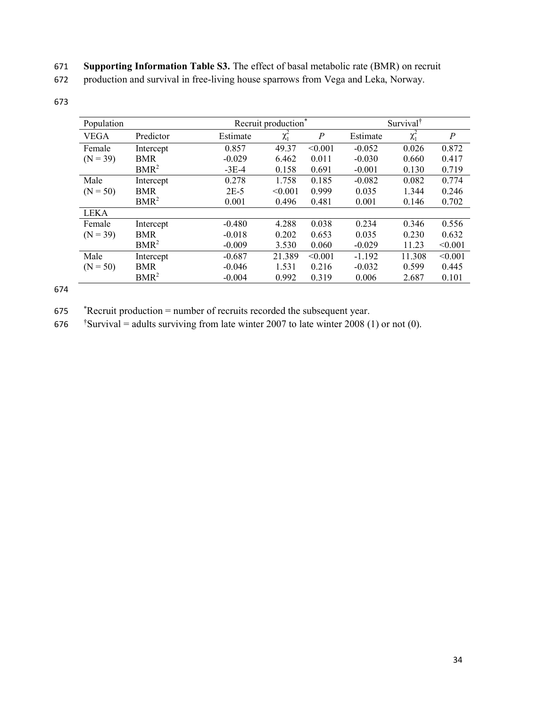671 Supporting Information Table S3. The effect of basal metabolic rate (BMR) on recruit

672 production and survival in free-living house sparrows from Vega and Leka, Norway.

673

| Population  |                  |          | Recruit production <sup>*</sup> |                | Survival <sup>†</sup> |            |                |
|-------------|------------------|----------|---------------------------------|----------------|-----------------------|------------|----------------|
| <b>VEGA</b> | Predictor        | Estimate | $\chi_1^2$                      | $\overline{P}$ | Estimate              | $\chi_1^2$ | $\overline{P}$ |
| Female      | Intercept        | 0.857    | 49.37                           | < 0.001        | $-0.052$              | 0.026      | 0.872          |
| $(N = 39)$  | <b>BMR</b>       | $-0.029$ | 6.462                           | 0.011          | $-0.030$              | 0.660      | 0.417          |
|             | $BMR^2$          | $-3E-4$  | 0.158                           | 0.691          | $-0.001$              | 0.130      | 0.719          |
| Male        | Intercept        | 0.278    | 1.758                           | 0.185          | $-0.082$              | 0.082      | 0.774          |
| $(N = 50)$  | <b>BMR</b>       | $2E-5$   | < 0.001                         | 0.999          | 0.035                 | 1.344      | 0.246          |
|             | BMR <sup>2</sup> | 0.001    | 0.496                           | 0.481          | 0.001                 | 0.146      | 0.702          |
| <b>LEKA</b> |                  |          |                                 |                |                       |            |                |
| Female      | Intercept        | $-0.480$ | 4.288                           | 0.038          | 0.234                 | 0.346      | 0.556          |
| $(N = 39)$  | <b>BMR</b>       | $-0.018$ | 0.202                           | 0.653          | 0.035                 | 0.230      | 0.632          |
|             | BMR <sup>2</sup> | $-0.009$ | 3.530                           | 0.060          | $-0.029$              | 11.23      | < 0.001        |
| Male        | Intercept        | $-0.687$ | 21.389                          | < 0.001        | $-1.192$              | 11.308     | < 0.001        |
| $(N = 50)$  | <b>BMR</b>       | $-0.046$ | 1.531                           | 0.216          | $-0.032$              | 0.599      | 0.445          |
|             | BMR <sup>2</sup> | $-0.004$ | 0.992                           | 0.319          | 0.006                 | 2.687      | 0.101          |

674

675 \*Recruit production = number of recruits recorded the subsequent year.

 $\text{576}$  Survival = adults surviving from late winter 2007 to late winter 2008 (1) or not (0).